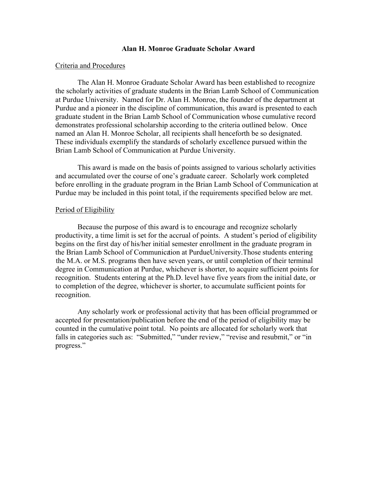# Alan H. Monroe Graduate Scholar Award

#### Criteria and Procedures

The Alan H. Monroe Graduate Scholar Award has been established to recognize the scholarly activities of graduate students in the Brian Lamb School of Communication at Purdue University. Named for Dr. Alan H. Monroe, the founder of the department at Purdue and a pioneer in the discipline of communication, this award is presented to each graduate student in the Brian Lamb School of Communication whose cumulative record demonstrates professional scholarship according to the criteria outlined below. Once named an Alan H. Monroe Scholar, all recipients shall henceforth be so designated. These individuals exemplify the standards of scholarly excellence pursued within the Brian Lamb School of Communication at Purdue University.

This award is made on the basis of points assigned to various scholarly activities and accumulated over the course of one's graduate career. Scholarly work completed before enrolling in the graduate program in the Brian Lamb School of Communication at Purdue may be included in this point total, if the requirements specified below are met.

# Period of Eligibility

Because the purpose of this award is to encourage and recognize scholarly productivity, a time limit is set for the accrual of points. A student's period of eligibility begins on the first day of his/her initial semester enrollment in the graduate program in the Brian Lamb School of Communication at PurdueUniversity. Those students entering the M.A. or M.S. programs then have seven years, or until completion of their terminal degree in Communication at Purdue, whichever is shorter, to acquire sufficient points for recognition. Students entering at the Ph.D. level have five years from the initial date, or to completion of the degree, whichever is shorter, to accumulate sufficient points for recognition.

Any scholarly work or professional activity that has been official programmed or accepted for presentation/publication before the end of the period of eligibility may be counted in the cumulative point total. No points are allocated for scholarly work that falls in categories such as: "Submitted," "under review," "revise and resubmit," or "in progress."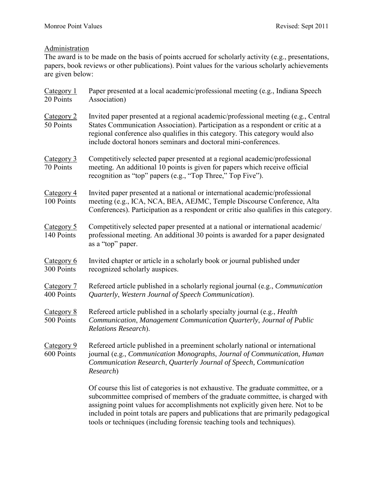# **Administration**

The award is to be made on the basis of points accrued for scholarly activity (e.g., presentations, papers, book reviews or other publications). Point values for the various scholarly achievements are given below:

| Category 1<br>20 Points  | Paper presented at a local academic/professional meeting (e.g., Indiana Speech<br>Association)                                                                                                                                                                                                                                              |
|--------------------------|---------------------------------------------------------------------------------------------------------------------------------------------------------------------------------------------------------------------------------------------------------------------------------------------------------------------------------------------|
| Category 2<br>50 Points  | Invited paper presented at a regional academic/professional meeting (e.g., Central<br>States Communication Association). Participation as a respondent or critic at a<br>regional conference also qualifies in this category. This category would also<br>include doctoral honors seminars and doctoral mini-conferences.                   |
| Category 3<br>70 Points  | Competitively selected paper presented at a regional academic/professional<br>meeting. An additional 10 points is given for papers which receive official<br>recognition as "top" papers (e.g., "Top Three," Top Five").                                                                                                                    |
| Category 4<br>100 Points | Invited paper presented at a national or international academic/professional<br>meeting (e.g., ICA, NCA, BEA, AEJMC, Temple Discourse Conference, Alta<br>Conferences). Participation as a respondent or critic also qualifies in this category.                                                                                            |
| Category 5<br>140 Points | Competitively selected paper presented at a national or international academic/<br>professional meeting. An additional 30 points is awarded for a paper designated<br>as a "top" paper.                                                                                                                                                     |
| Category 6<br>300 Points | Invited chapter or article in a scholarly book or journal published under<br>recognized scholarly auspices.                                                                                                                                                                                                                                 |
| Category 7<br>400 Points | Refereed article published in a scholarly regional journal (e.g., Communication<br>Quarterly, Western Journal of Speech Communication).                                                                                                                                                                                                     |
| Category 8<br>500 Points | Refereed article published in a scholarly specialty journal (e.g., <i>Health</i> )<br>Communication, Management Communication Quarterly, Journal of Public<br>Relations Research).                                                                                                                                                          |
| Category 9<br>600 Points | Refereed article published in a preeminent scholarly national or international<br>journal (e.g., Communication Monographs, Journal of Communication, Human<br>Communication Research, Quarterly Journal of Speech, Communication<br>Research)                                                                                               |
|                          | Of course this list of categories is not exhaustive. The graduate committee, or a<br>subcommittee comprised of members of the graduate committee, is charged with<br>assigning point values for accomplishments not explicitly given here. Not to be<br>included in point totals are papers and publications that are primarily pedagogical |

tools or techniques (including forensic teaching tools and techniques).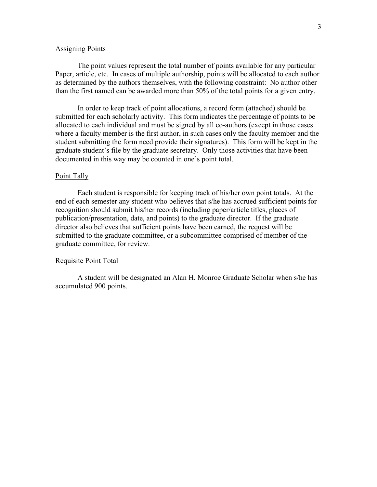# **Assigning Points**

The point values represent the total number of points available for any particular Paper, article, etc. In cases of multiple authorship, points will be allocated to each author as determined by the authors themselves, with the following constraint: No author other than the first named can be awarded more than 50% of the total points for a given entry.

In order to keep track of point allocations, a record form (attached) should be submitted for each scholarly activity. This form indicates the percentage of points to be allocated to each individual and must be signed by all co-authors (except in those cases where a faculty member is the first author, in such cases only the faculty member and the student submitting the form need provide their signatures). This form will be kept in the graduate student's file by the graduate secretary. Only those activities that have been documented in this way may be counted in one's point total.

#### Point Tally

Each student is responsible for keeping track of his/her own point totals. At the end of each semester any student who believes that s/he has accrued sufficient points for recognition should submit his/her records (including paper/article titles, places of publication/presentation, date, and points) to the graduate director. If the graduate director also believes that sufficient points have been earned, the request will be submitted to the graduate committee, or a subcommittee comprised of member of the graduate committee, for review.

#### Requisite Point Total

A student will be designated an Alan H. Monroe Graduate Scholar when s/he has accumulated 900 points.